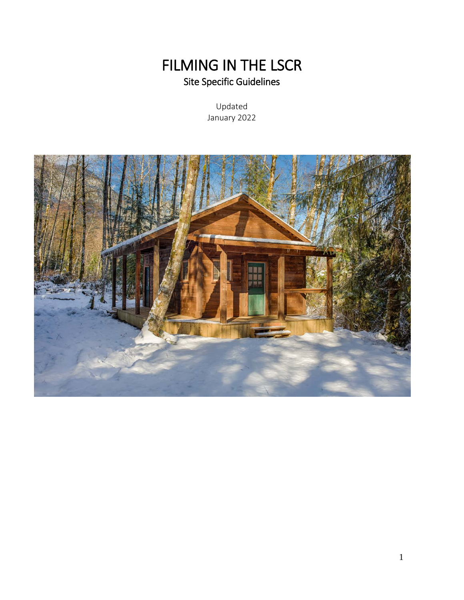# FILMING IN THE LSCR<br>Site Specific Guidelines

Updated January 2022

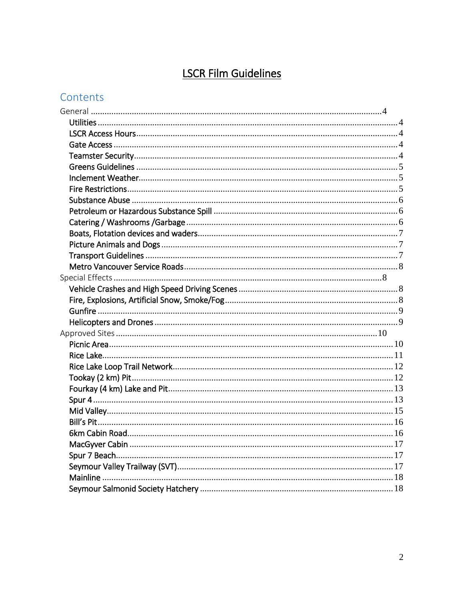# **LSCR Film Guidelines**

# Contents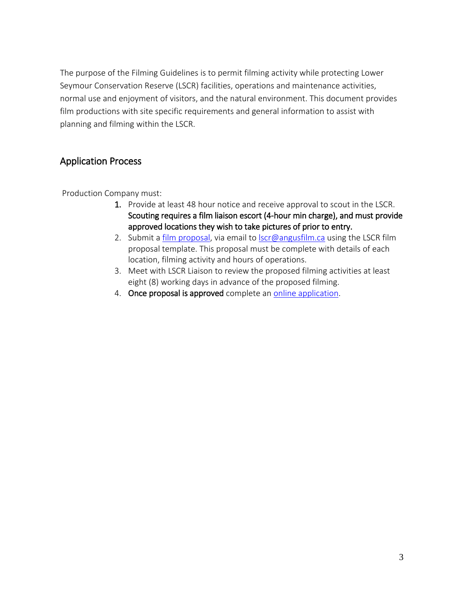The purpose of the Filming Guidelines is to permit filming activity while protecting Lower Seymour Conservation Reserve (LSCR) facilities, operations and maintenance activities, normal use and enjoyment of visitors, and the natural environment. This document provides film productions with site specific requirements and general information to assist with planning and filming within the LSCR.

# Application Process

Production Company must:

- 1. Provide at least 48 hour notice and receive approval to scout in the LSCR. Scouting requires a film liaison escort (4-hour min charge), and must provide approved locations they wish to take pictures of prior to entry.
- 2. Submit a [film proposal,](http://www.metrovancouver.org/filming/FilmingPublications/LSCRFilmingProposalForm.pdf) via email to [lscr@angusfilm.ca](mailto:lscr@angusfilm.ca) using the LSCR film proposal template. This proposal must be complete with details of each location, filming activity and hours of operations.
- 3. Meet with LSCR Liaison to review the proposed filming activities at least eight (8) working days in advance of the proposed filming.
- 4. Once proposal is approved complete an [online application.](http://www.metrovancouver.org/filming/Pages/filming-application-form.aspx)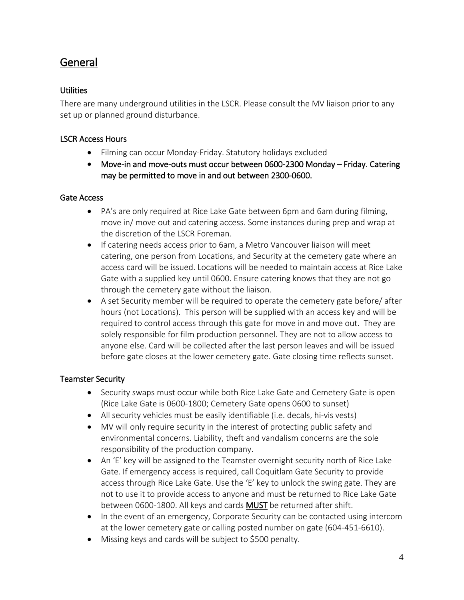# <span id="page-3-0"></span>General

## <span id="page-3-1"></span>Utilities

There are many underground utilities in the LSCR. Please consult the MV liaison prior to any set up or planned ground disturbance.

## <span id="page-3-2"></span>LSCR Access Hours

- Filming can occur Monday-Friday. Statutory holidays excluded
- Move-in and move-outs must occur between 0600-2300 Monday Friday. Catering may be permitted to move in and out between 2300-0600.

#### <span id="page-3-3"></span>Gate Access

- PA's are only required at Rice Lake Gate between 6pm and 6am during filming, move in/ move out and catering access. Some instances during prep and wrap at the discretion of the LSCR Foreman.
- If catering needs access prior to 6am, a Metro Vancouver liaison will meet catering, one person from Locations, and Security at the cemetery gate where an access card will be issued. Locations will be needed to maintain access at Rice Lake Gate with a supplied key until 0600. Ensure catering knows that they are not go through the cemetery gate without the liaison.
- A set Security member will be required to operate the cemetery gate before/ after hours (not Locations). This person will be supplied with an access key and will be required to control access through this gate for move in and move out. They are solely responsible for film production personnel. They are not to allow access to anyone else. Card will be collected after the last person leaves and will be issued before gate closes at the lower cemetery gate. Gate closing time reflects sunset.

#### <span id="page-3-4"></span>Teamster Security

- Security swaps must occur while both Rice Lake Gate and Cemetery Gate is open (Rice Lake Gate is 0600-1800; Cemetery Gate opens 0600 to sunset)
- All security vehicles must be easily identifiable (i.e. decals, hi-vis vests)
- MV will only require security in the interest of protecting public safety and environmental concerns. Liability, theft and vandalism concerns are the sole responsibility of the production company.
- An 'E' key will be assigned to the Teamster overnight security north of Rice Lake Gate. If emergency access is required, call Coquitlam Gate Security to provide access through Rice Lake Gate. Use the 'E' key to unlock the swing gate. They are not to use it to provide access to anyone and must be returned to Rice Lake Gate between 0600-1800. All keys and cards MUST be returned after shift.
- In the event of an emergency, Corporate Security can be contacted using intercom at the lower cemetery gate or calling posted number on gate (604-451-6610).
- Missing keys and cards will be subject to \$500 penalty.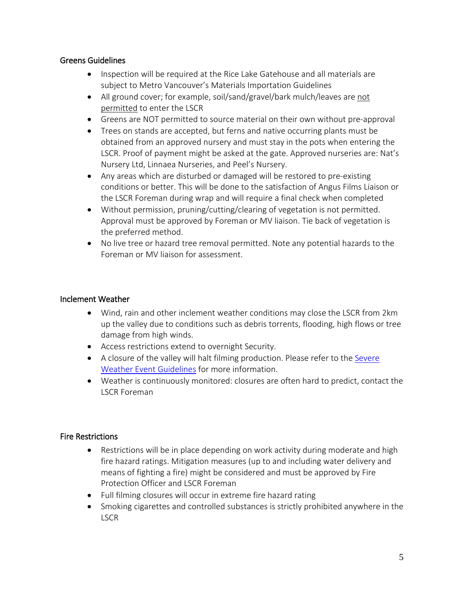#### <span id="page-4-0"></span>Greens Guidelines

- Inspection will be required at the Rice Lake Gatehouse and all materials are subject to Metro Vancouver's Materials Importation Guidelines
- All ground cover; for example, soil/sand/gravel/bark mulch/leaves are not permitted to enter the LSCR
- Greens are NOT permitted to source material on their own without pre-approval
- Trees on stands are accepted, but ferns and native occurring plants must be obtained from an approved nursery and must stay in the pots when entering the LSCR. Proof of payment might be asked at the gate. Approved nurseries are: Nat's Nursery Ltd, Linnaea Nurseries, and Peel's Nursery.
- Any areas which are disturbed or damaged will be restored to pre-existing conditions or better. This will be done to the satisfaction of Angus Films Liaison or the LSCR Foreman during wrap and will require a final check when completed
- Without permission, pruning/cutting/clearing of vegetation is not permitted. Approval must be approved by Foreman or MV liaison. Tie back of vegetation is the preferred method.
- No live tree or hazard tree removal permitted. Note any potential hazards to the Foreman or MV liaison for assessment.

## <span id="page-4-1"></span>Inclement Weather

- Wind, rain and other inclement weather conditions may close the LSCR from 2km up the valley due to conditions such as debris torrents, flooding, high flows or tree damage from high winds.
- Access restrictions extend to overnight Security.
- A closure of the valley will halt filming production. Please refer to the [Severe](http://www.metrovancouver.org/services/water/watershed-em-contractors/WatershedEMPublications/Severe%20Weather%20Guidelines.pdf)  [Weather Event Guidelines](http://www.metrovancouver.org/services/water/watershed-em-contractors/WatershedEMPublications/Severe%20Weather%20Guidelines.pdf) for more information.
- Weather is continuously monitored: closures are often hard to predict, contact the LSCR Foreman

#### <span id="page-4-2"></span>Fire Restrictions

- Restrictions will be in place depending on work activity during moderate and high fire hazard ratings. Mitigation measures (up to and including water delivery and means of fighting a fire) might be considered and must be approved by Fire Protection Officer and LSCR Foreman
- Full filming closures will occur in extreme fire hazard rating
- Smoking cigarettes and controlled substances is strictly prohibited anywhere in the **LSCR**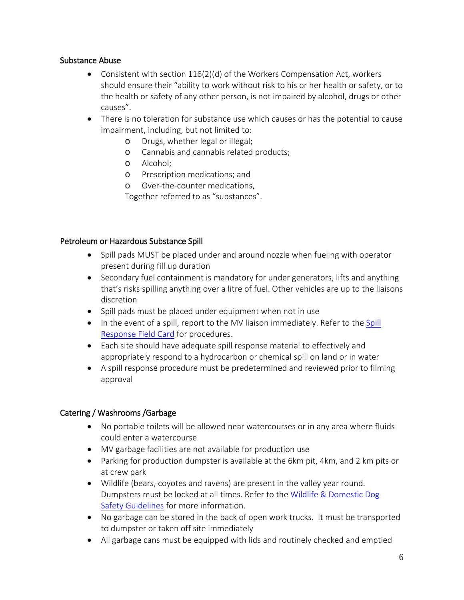## <span id="page-5-0"></span>Substance Abuse

- Consistent with section 116(2)(d) of the Workers Compensation Act, workers should ensure their "ability to work without risk to his or her health or safety, or to the health or safety of any other person, is not impaired by alcohol, drugs or other causes".
- There is no toleration for substance use which causes or has the potential to cause impairment, including, but not limited to:
	- o Drugs, whether legal or illegal;
	- o Cannabis and cannabis related products;
	- o Alcohol;
	- o Prescription medications; and
	- o Over-the-counter medications,

Together referred to as "substances".

#### <span id="page-5-1"></span>Petroleum or Hazardous Substance Spill

- Spill pads MUST be placed under and around nozzle when fueling with operator present during fill up duration
- Secondary fuel containment is mandatory for under generators, lifts and anything that's risks spilling anything over a litre of fuel. Other vehicles are up to the liaisons discretion
- Spill pads must be placed under equipment when not in use
- In the event of a spill, report to the MV liaison immediately. Refer to the [Spill](http://www.metrovancouver.org/services/water/watershed-em-contractors/Pages/default.aspx)  [Response Field Card](http://www.metrovancouver.org/services/water/watershed-em-contractors/Pages/default.aspx) for procedures.
- Each site should have adequate spill response material to effectively and appropriately respond to a hydrocarbon or chemical spill on land or in water
- A spill response procedure must be predetermined and reviewed prior to filming approval

# <span id="page-5-2"></span>Catering / Washrooms /Garbage

- No portable toilets will be allowed near watercourses or in any area where fluids could enter a watercourse
- MV garbage facilities are not available for production use
- Parking for production dumpster is available at the 6km pit, 4km, and 2 km pits or at crew park
- Wildlife (bears, coyotes and ravens) are present in the valley year round. Dumpsters must be locked at all times. Refer to the Wildlife & Domestic Dog [Safety Guidelines](http://www.metrovancouver.org/services/water/watershed-em-contractors/WatershedEMPublications/Guidelines%20for%20Wildlife%20and%20Domestic%20Dog%20Safety.pdf) for more information.
- No garbage can be stored in the back of open work trucks. It must be transported to dumpster or taken off site immediately
- All garbage cans must be equipped with lids and routinely checked and emptied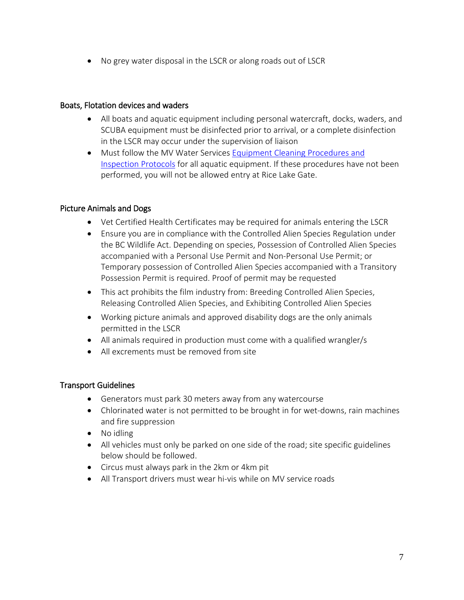• No grey water disposal in the LSCR or along roads out of LSCR

#### <span id="page-6-0"></span>Boats, Flotation devices and waders

- All boats and aquatic equipment including personal watercraft, docks, waders, and SCUBA equipment must be disinfected prior to arrival, or a complete disinfection in the LSCR may occur under the supervision of liaison
- Must follow the MV Water Services [Equipment Cleaning Procedures and](http://www.metrovancouver.org/services/water/watershed-em-contractors/WatershedEMPublications/2021%20Equipment%20Cleaning%20Guidelines.pdf)  [Inspection Protocols](http://www.metrovancouver.org/services/water/watershed-em-contractors/WatershedEMPublications/2021%20Equipment%20Cleaning%20Guidelines.pdf) for all aquatic equipment. If these procedures have not been performed, you will not be allowed entry at Rice Lake Gate.

# <span id="page-6-1"></span>Picture Animals and Dogs

- Vet Certified Health Certificates may be required for animals entering the LSCR
- Ensure you are in compliance with the Controlled Alien Species Regulation under the BC Wildlife Act. Depending on species, Possession of Controlled Alien Species accompanied with a Personal Use Permit and Non-Personal Use Permit; or Temporary possession of Controlled Alien Species accompanied with a Transitory Possession Permit is required. Proof of permit may be requested
- This act prohibits the film industry from: Breeding Controlled Alien Species, Releasing Controlled Alien Species, and Exhibiting Controlled Alien Species
- Working picture animals and approved disability dogs are the only animals permitted in the LSCR
- All animals required in production must come with a qualified wrangler/s
- All excrements must be removed from site

#### <span id="page-6-2"></span>Transport Guidelines

- Generators must park 30 meters away from any watercourse
- Chlorinated water is not permitted to be brought in for wet-downs, rain machines and fire suppression
- No idling
- All vehicles must only be parked on one side of the road; site specific guidelines below should be followed.
- Circus must always park in the 2km or 4km pit
- All Transport drivers must wear hi-vis while on MV service roads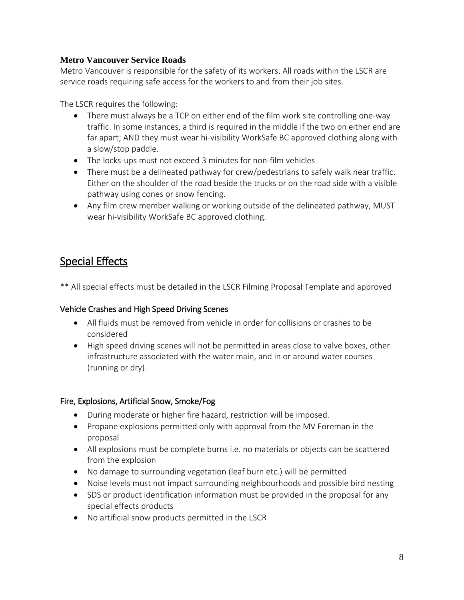# <span id="page-7-0"></span>**Metro Vancouver Service Roads**

Metro Vancouver is responsible for the safety of its workers. All roads within the LSCR are service roads requiring safe access for the workers to and from their job sites.

The LSCR requires the following:

- There must always be a TCP on either end of the film work site controlling one-way traffic. In some instances, a third is required in the middle if the two on either end are far apart; AND they must wear hi-visibility WorkSafe BC approved clothing along with a slow/stop paddle.
- The locks-ups must not exceed 3 minutes for non-film vehicles
- There must be a delineated pathway for crew/pedestrians to safely walk near traffic. Either on the shoulder of the road beside the trucks or on the road side with a visible pathway using cones or snow fencing.
- Any film crew member walking or working outside of the delineated pathway, MUST wear hi-visibility WorkSafe BC approved clothing.

# <span id="page-7-1"></span>Special Effects

\*\* All special effects must be detailed in the LSCR Filming Proposal Template and approved

# <span id="page-7-2"></span>Vehicle Crashes and High Speed Driving Scenes

- All fluids must be removed from vehicle in order for collisions or crashes to be considered
- High speed driving scenes will not be permitted in areas close to valve boxes, other infrastructure associated with the water main, and in or around water courses (running or dry).

# <span id="page-7-3"></span>Fire, Explosions, Artificial Snow, Smoke/Fog

- During moderate or higher fire hazard, restriction will be imposed.
- Propane explosions permitted only with approval from the MV Foreman in the proposal
- All explosions must be complete burns i.e. no materials or objects can be scattered from the explosion
- No damage to surrounding vegetation (leaf burn etc.) will be permitted
- Noise levels must not impact surrounding neighbourhoods and possible bird nesting
- SDS or product identification information must be provided in the proposal for any special effects products
- No artificial snow products permitted in the LSCR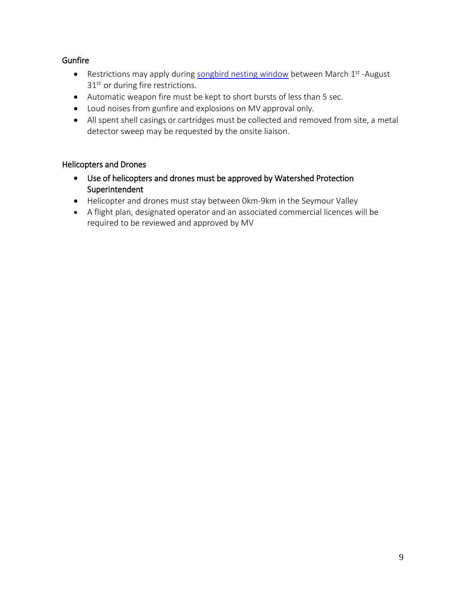# <span id="page-8-0"></span>**Gunfire**

- Restrictions may apply during [songbird nesting window](http://www.metrovancouver.org/services/water/watershed-em-contractors/WatershedEMPublications/Songbird%20Nest%20Protection%20Guidelines.pdf) between March 1<sup>st</sup> -August 31<sup>st</sup> or during fire restrictions.
- Automatic weapon fire must be kept to short bursts of less than 5 sec.
- Loud noises from gunfire and explosions on MV approval only.
- All spent shell casings or cartridges must be collected and removed from site, a metal detector sweep may be requested by the onsite liaison.

# <span id="page-8-1"></span>Helicopters and Drones

- Use of helicopters and drones must be approved by Watershed Protection Superintendent
- Helicopter and drones must stay between 0km-9km in the Seymour Valley
- A flight plan, designated operator and an associated commercial licences will be required to be reviewed and approved by MV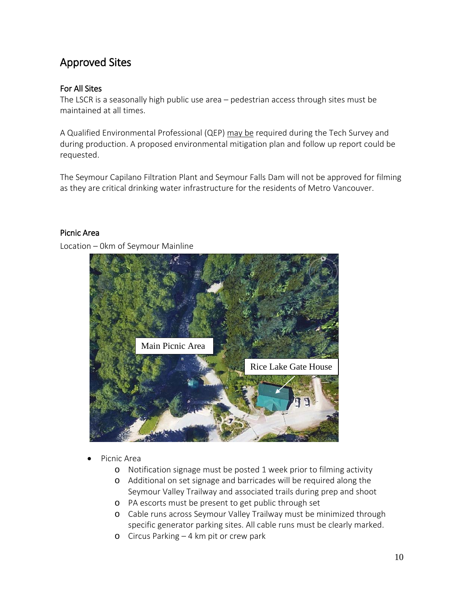# <span id="page-9-0"></span>Approved Sites

# For All Sites

The LSCR is a seasonally high public use area – pedestrian access through sites must be maintained at all times.

A Qualified Environmental Professional (QEP) may be required during the Tech Survey and during production. A proposed environmental mitigation plan and follow up report could be requested.

The Seymour Capilano Filtration Plant and Seymour Falls Dam will not be approved for filming as they are critical drinking water infrastructure for the residents of Metro Vancouver.

#### <span id="page-9-1"></span>Picnic Area

Location – 0km of Seymour Mainline



- Picnic Area
	- o Notification signage must be posted 1 week prior to filming activity
	- o Additional on set signage and barricades will be required along the Seymour Valley Trailway and associated trails during prep and shoot
	- o PA escorts must be present to get public through set
	- o Cable runs across Seymour Valley Trailway must be minimized through specific generator parking sites. All cable runs must be clearly marked.
	- o Circus Parking 4 km pit or crew park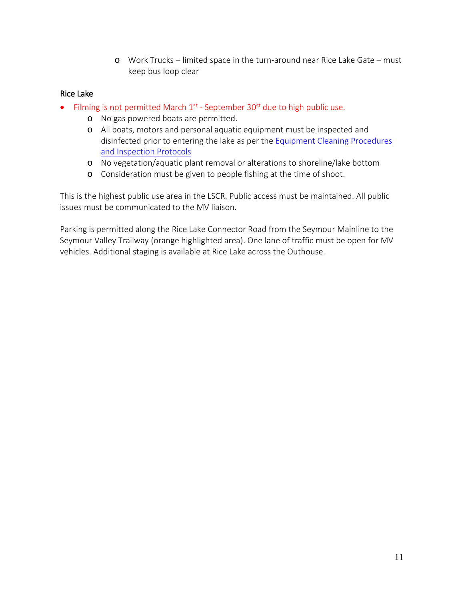o Work Trucks – limited space in the turn-around near Rice Lake Gate – must keep bus loop clear

## <span id="page-10-0"></span>Rice Lake

- Filming is not permitted March  $1<sup>st</sup>$  September 30<sup>st</sup> due to high public use.
	- o No gas powered boats are permitted.
	- o All boats, motors and personal aquatic equipment must be inspected and disinfected prior to entering the lake as per the [Equipment Cleaning Procedures](http://www.metrovancouver.org/services/water/watershed-em-contractors/WatershedEMPublications/2021%20Equipment%20Cleaning%20Guidelines.pdf)  [and Inspection Protocols](http://www.metrovancouver.org/services/water/watershed-em-contractors/WatershedEMPublications/2021%20Equipment%20Cleaning%20Guidelines.pdf)
	- o No vegetation/aquatic plant removal or alterations to shoreline/lake bottom
	- o Consideration must be given to people fishing at the time of shoot.

This is the highest public use area in the LSCR. Public access must be maintained. All public issues must be communicated to the MV liaison.

Parking is permitted along the Rice Lake Connector Road from the Seymour Mainline to the Seymour Valley Trailway (orange highlighted area). One lane of traffic must be open for MV vehicles. Additional staging is available at Rice Lake across the Outhouse.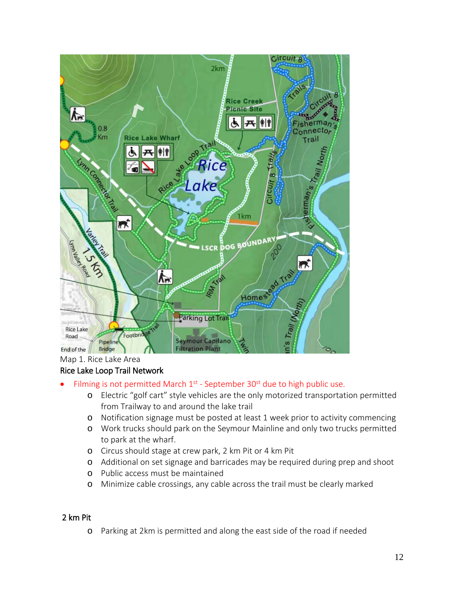

#### Map 1. Rice Lake Area

#### <span id="page-11-0"></span>Rice Lake Loop Trail Network

- Filming is not permitted March  $1<sup>st</sup>$  September 30 $<sup>st</sup>$  due to high public use.</sup>
	- o Electric "golf cart" style vehicles are the only motorized transportation permitted from Trailway to and around the lake trail
	- o Notification signage must be posted at least 1 week prior to activity commencing
	- o Work trucks should park on the Seymour Mainline and only two trucks permitted to park at the wharf.
	- o Circus should stage at crew park, 2 km Pit or 4 km Pit
	- o Additional on set signage and barricades may be required during prep and shoot
	- o Public access must be maintained
	- o Minimize cable crossings, any cable across the trail must be clearly marked

## <span id="page-11-1"></span>2 km Pit

o Parking at 2km is permitted and along the east side of the road if needed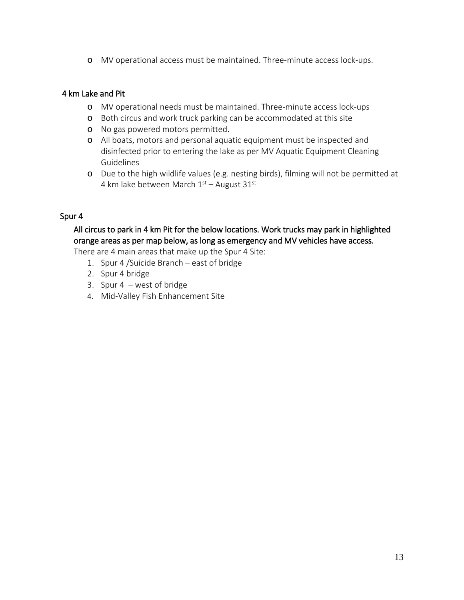o MV operational access must be maintained. Three-minute access lock-ups.

#### <span id="page-12-0"></span>4 km Lake and Pit

- o MV operational needs must be maintained. Three-minute access lock-ups
- o Both circus and work truck parking can be accommodated at this site
- o No gas powered motors permitted.
- o All boats, motors and personal aquatic equipment must be inspected and disinfected prior to entering the lake as per MV Aquatic Equipment Cleaning Guidelines
- o Due to the high wildlife values (e.g. nesting birds), filming will not be permitted at 4 km lake between March  $1<sup>st</sup>$  – August 31<sup>st</sup>

# <span id="page-12-1"></span>Spur 4

# All circus to park in 4 km Pit for the below locations. Work trucks may park in highlighted orange areas as per map below, as long as emergency and MV vehicles have access.

There are 4 main areas that make up the Spur 4 Site:

- 1. Spur 4 /Suicide Branch east of bridge
- 2. Spur 4 bridge
- 3. Spur 4 west of bridge
- 4. Mid-Valley Fish Enhancement Site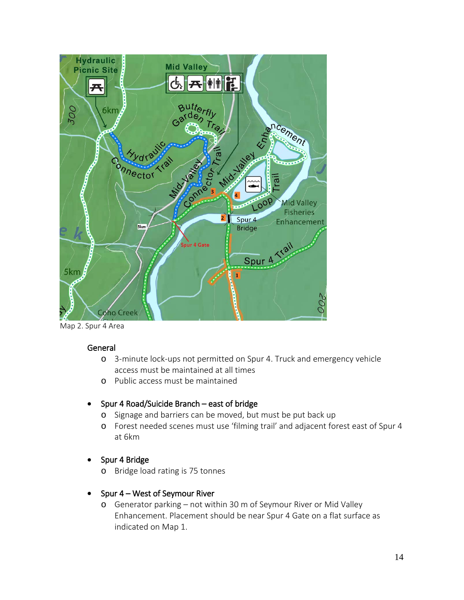

Map 2. Spur 4 Area

#### General

- o 3-minute lock-ups not permitted on Spur 4. Truck and emergency vehicle access must be maintained at all times
- o Public access must be maintained
- Spur 4 Road/Suicide Branch east of bridge
	- o Signage and barriers can be moved, but must be put back up
	- o Forest needed scenes must use 'filming trail' and adjacent forest east of Spur 4 at 6km
- Spur 4 Bridge
	- o Bridge load rating is 75 tonnes
- Spur 4 West of Seymour River
	- o Generator parking not within 30 m of Seymour River or Mid Valley Enhancement. Placement should be near Spur 4 Gate on a flat surface as indicated on Map 1.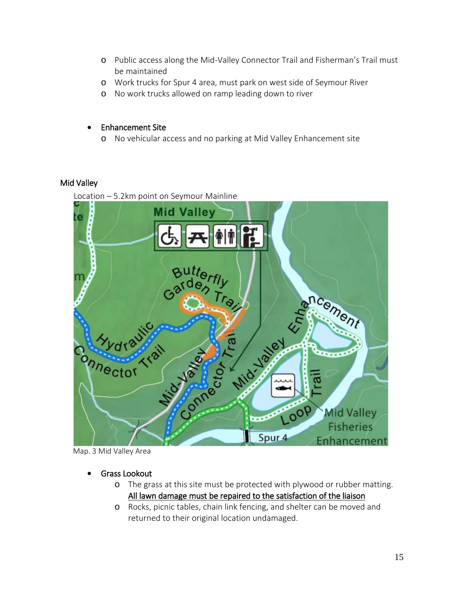- o Public access along the Mid-Valley Connector Trail and Fisherman's Trail must be maintained
- o Work trucks for Spur 4 area, must park on west side of Seymour River
- o No work trucks allowed on ramp leading down to river

#### • Enhancement Site

o No vehicular access and no parking at Mid Valley Enhancement site

# <span id="page-14-0"></span>Mid Valley

Location – 5.2km point on Seymour Mainline



Map. 3 Mid Valley Area

- Grass Lookout
	- o The grass at this site must be protected with plywood or rubber matting. All lawn damage must be repaired to the satisfaction of the liaison
	- o Rocks, picnic tables, chain link fencing, and shelter can be moved and returned to their original location undamaged.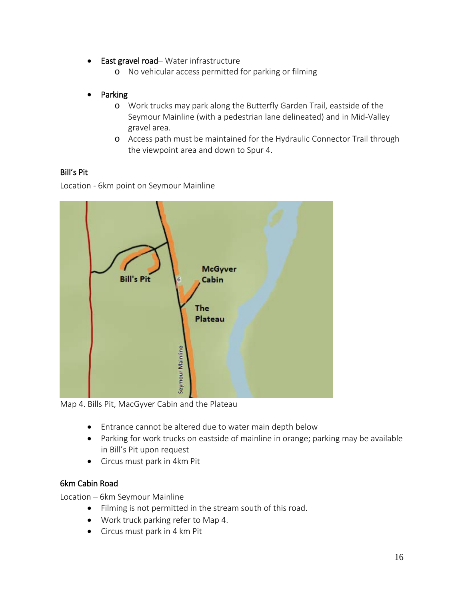- East gravel road– Water infrastructure
	- o No vehicular access permitted for parking or filming
- Parking
	- o Work trucks may park along the Butterfly Garden Trail, eastside of the Seymour Mainline (with a pedestrian lane delineated) and in Mid-Valley gravel area.
	- o Access path must be maintained for the Hydraulic Connector Trail through the viewpoint area and down to Spur 4.

# <span id="page-15-0"></span>Bill's Pit

Location - 6km point on Seymour Mainline



Map 4. Bills Pit, MacGyver Cabin and the Plateau

- Entrance cannot be altered due to water main depth below
- Parking for work trucks on eastside of mainline in orange; parking may be available in Bill's Pit upon request
- Circus must park in 4km Pit

# <span id="page-15-1"></span>6km Cabin Road

Location – 6km Seymour Mainline

- Filming is not permitted in the stream south of this road.
- Work truck parking refer to Map 4.
- Circus must park in 4 km Pit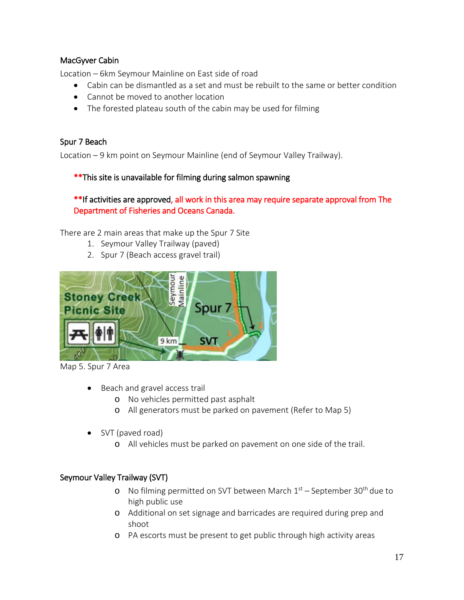# <span id="page-16-0"></span>MacGyver Cabin

Location – 6km Seymour Mainline on East side of road

- Cabin can be dismantled as a set and must be rebuilt to the same or better condition
- Cannot be moved to another location
- The forested plateau south of the cabin may be used for filming

## <span id="page-16-1"></span>Spur 7 Beach

Location – 9 km point on Seymour Mainline (end of Seymour Valley Trailway).

# \*\*This site is unavailable for filming during salmon spawning

# \*\*If activities are approved, all work in this area may require separate approval from The Department of Fisheries and Oceans Canada.

There are 2 main areas that make up the Spur 7 Site

- 1. Seymour Valley Trailway (paved)
- 2. Spur 7 (Beach access gravel trail)



Map 5. Spur 7 Area

- Beach and gravel access trail
	- o No vehicles permitted past asphalt
	- o All generators must be parked on pavement (Refer to Map 5)
- SVT (paved road)
	- o All vehicles must be parked on pavement on one side of the trail.

# <span id="page-16-2"></span>Seymour Valley Trailway (SVT)

- o No filming permitted on SVT between March  $1<sup>st</sup>$  September 30<sup>th</sup> due to high public use
- o Additional on set signage and barricades are required during prep and shoot
- o PA escorts must be present to get public through high activity areas